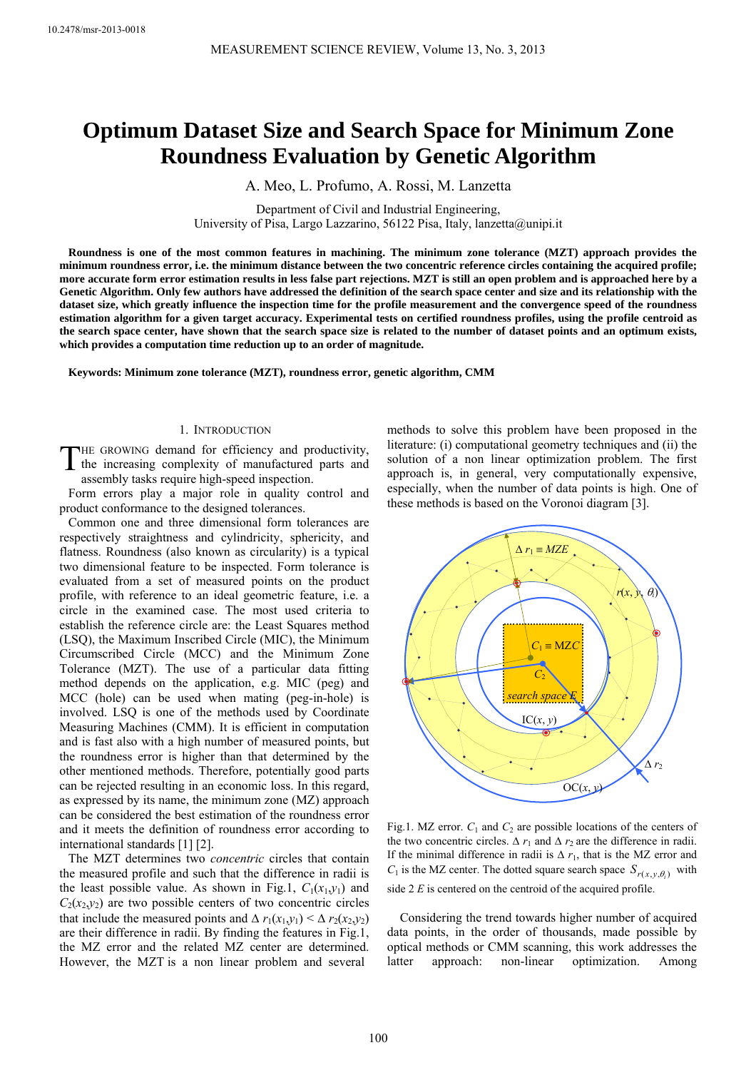# **Optimum Dataset Size and Search Space for Minimum Zone Roundness Evaluation by Genetic Algorithm**

A. Meo, L. Profumo, A. Rossi, M. Lanzetta

Department of Civil and Industrial Engineering, University of Pisa, Largo Lazzarino, 56122 Pisa, Italy, lanzetta@unipi.it

**Roundness is one of the most common features in machining. The minimum zone tolerance (MZT) approach provides the minimum roundness error, i.e. the minimum distance between the two concentric reference circles containing the acquired profile; more accurate form error estimation results in less false part rejections. MZT is still an open problem and is approached here by a Genetic Algorithm. Only few authors have addressed the definition of the search space center and size and its relationship with the dataset size, which greatly influence the inspection time for the profile measurement and the convergence speed of the roundness estimation algorithm for a given target accuracy. Experimental tests on certified roundness profiles, using the profile centroid as the search space center, have shown that the search space size is related to the number of dataset points and an optimum exists, which provides a computation time reduction up to an order of magnitude.** 

**Keywords: Minimum zone tolerance (MZT), roundness error, genetic algorithm, CMM** 

#### 1. INTRODUCTION

THE GROWING demand for efficiency and productivity, THE GROWING demand for efficiency and productivity,<br>the increasing complexity of manufactured parts and assembly tasks require high-speed inspection.

Form errors play a major role in quality control and product conformance to the designed tolerances.

Common one and three dimensional form tolerances are respectively straightness and cylindricity, sphericity, and flatness. Roundness (also known as circularity) is a typical two dimensional feature to be inspected. Form tolerance is evaluated from a set of measured points on the product profile, with reference to an ideal geometric feature, i.e. a circle in the examined case. The most used criteria to establish the reference circle are: the Least Squares method (LSQ), the Maximum Inscribed Circle (MIC), the Minimum Circumscribed Circle (MCC) and the Minimum Zone Tolerance (MZT). The use of a particular data fitting method depends on the application, e.g. MIC (peg) and MCC (hole) can be used when mating (peg-in-hole) is involved. LSQ is one of the methods used by Coordinate Measuring Machines (CMM). It is efficient in computation and is fast also with a high number of measured points, but the roundness error is higher than that determined by the other mentioned methods. Therefore, potentially good parts can be rejected resulting in an economic loss. In this regard, as expressed by its name, the minimum zone (MZ) approach can be considered the best estimation of the roundness error and it meets the definition of roundness error according to international standards [1] [2].

The MZT determines two *concentric* circles that contain the measured profile and such that the difference in radii is the least possible value. As shown in Fig.1,  $C_1(x_1,y_1)$  and  $C_2(x_2, y_2)$  are two possible centers of two concentric circles that include the measured points and  $\Delta r_1(x_1, y_1) \leq \Delta r_2(x_2, y_2)$ are their difference in radii. By finding the features in Fig.1, the MZ error and the related MZ center are determined. However, the MZT is a non linear problem and several

methods to solve this problem have been proposed in the literature: (i) computational geometry techniques and (ii) the solution of a non linear optimization problem. The first approach is, in general, very computationally expensive, especially, when the number of data points is high. One of these methods is based on the Voronoi diagram [3].



Fig.1. MZ error.  $C_1$  and  $C_2$  are possible locations of the centers of the two concentric circles.  $\Delta r_1$  and  $\Delta r_2$  are the difference in radii. If the minimal difference in radii is  $\Delta r_1$ , that is the MZ error and  $C_1$  is the MZ center. The dotted square search space  $S_{r(x, y, \theta_i)}$  with side 2 *E* is centered on the centroid of the acquired profile.

Considering the trend towards higher number of acquired data points, in the order of thousands, made possible by optical methods or CMM scanning, this work addresses the latter approach: non-linear optimization. Among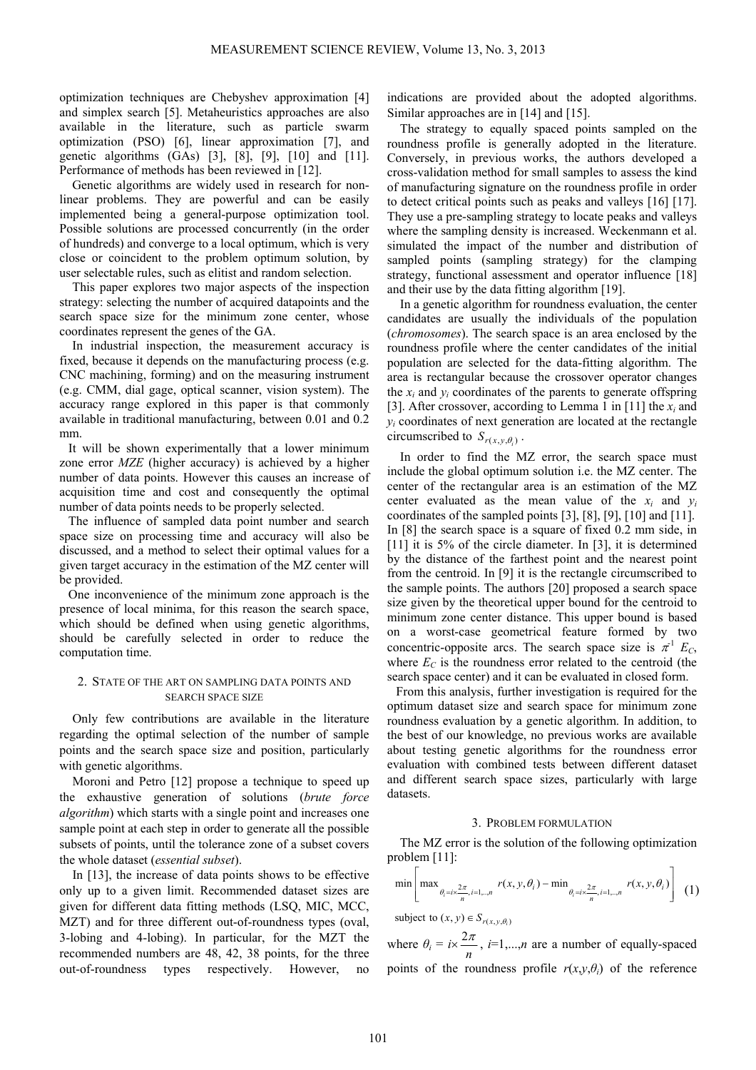optimization techniques are Chebyshev approximation [4] and simplex search [5]. Metaheuristics approaches are also available in the literature, such as particle swarm optimization (PSO) [6], linear approximation [7], and genetic algorithms (GAs) [3], [8], [9], [10] and [11]. Performance of methods has been reviewed in [12].

Genetic algorithms are widely used in research for nonlinear problems. They are powerful and can be easily implemented being a general-purpose optimization tool. Possible solutions are processed concurrently (in the order of hundreds) and converge to a local optimum, which is very close or coincident to the problem optimum solution, by user selectable rules, such as elitist and random selection.

This paper explores two major aspects of the inspection strategy: selecting the number of acquired datapoints and the search space size for the minimum zone center, whose coordinates represent the genes of the GA.

In industrial inspection, the measurement accuracy is fixed, because it depends on the manufacturing process (e.g. CNC machining, forming) and on the measuring instrument (e.g. CMM, dial gage, optical scanner, vision system). The accuracy range explored in this paper is that commonly available in traditional manufacturing, between 0.01 and 0.2 mm.

It will be shown experimentally that a lower minimum zone error *MZE* (higher accuracy) is achieved by a higher number of data points. However this causes an increase of acquisition time and cost and consequently the optimal number of data points needs to be properly selected.

The influence of sampled data point number and search space size on processing time and accuracy will also be discussed, and a method to select their optimal values for a given target accuracy in the estimation of the MZ center will be provided.

One inconvenience of the minimum zone approach is the presence of local minima, for this reason the search space, which should be defined when using genetic algorithms, should be carefully selected in order to reduce the computation time.

## 2. STATE OF THE ART ON SAMPLING DATA POINTS AND SEARCH SPACE SIZE

Only few contributions are available in the literature regarding the optimal selection of the number of sample points and the search space size and position, particularly with genetic algorithms.

Moroni and Petro [12] propose a technique to speed up the exhaustive generation of solutions (*brute force algorithm*) which starts with a single point and increases one sample point at each step in order to generate all the possible subsets of points, until the tolerance zone of a subset covers the whole dataset (*essential subset*).

In [13], the increase of data points shows to be effective only up to a given limit. Recommended dataset sizes are given for different data fitting methods (LSQ, MIC, MCC, MZT) and for three different out-of-roundness types (oval, 3-lobing and 4-lobing). In particular, for the MZT the recommended numbers are 48, 42, 38 points, for the three out-of-roundness types respectively. However,

indications are provided about the adopted algorithms. Similar approaches are in [14] and [15].

The strategy to equally spaced points sampled on the roundness profile is generally adopted in the literature. Conversely, in previous works, the authors developed a cross-validation method for small samples to assess the kind of manufacturing signature on the roundness profile in order to detect critical points such as peaks and valleys [16] [17]. They use a pre-sampling strategy to locate peaks and valleys where the sampling density is increased. Weckenmann et al. simulated the impact of the number and distribution of sampled points (sampling strategy) for the clamping strategy, functional assessment and operator influence [18] and their use by the data fitting algorithm [19].

In a genetic algorithm for roundness evaluation, the center candidates are usually the individuals of the population (*chromosomes*). The search space is an area enclosed by the roundness profile where the center candidates of the initial population are selected for the data-fitting algorithm. The area is rectangular because the crossover operator changes the  $x_i$  and  $y_i$  coordinates of the parents to generate offspring [3]. After crossover, according to Lemma 1 in [11] the *xi* and  $y_i$  coordinates of next generation are located at the rectangle circumscribed to  $S_{r(x, y, \theta_i)}$ .

In order to find the MZ error, the search space must include the global optimum solution i.e. the MZ center. The center of the rectangular area is an estimation of the MZ center evaluated as the mean value of the  $x_i$  and  $y_i$ coordinates of the sampled points [3], [8], [9], [10] and [11]. In [8] the search space is a square of fixed 0.2 mm side, in [11] it is 5% of the circle diameter. In [3], it is determined by the distance of the farthest point and the nearest point from the centroid. In [9] it is the rectangle circumscribed to the sample points. The authors [20] proposed a search space size given by the theoretical upper bound for the centroid to minimum zone center distance. This upper bound is based on a worst-case geometrical feature formed by two concentric-opposite arcs. The search space size is  $\pi$ <sup>1</sup>  $E_c$ , where  $E_C$  is the roundness error related to the centroid (the search space center) and it can be evaluated in closed form.

From this analysis, further investigation is required for the optimum dataset size and search space for minimum zone roundness evaluation by a genetic algorithm. In addition, to the best of our knowledge, no previous works are available about testing genetic algorithms for the roundness error evaluation with combined tests between different dataset and different search space sizes, particularly with large datasets.

#### 3. PROBLEM FORMULATION

The MZ error is the solution of the following optimization problem [11]:

$$
\min \left[ \max_{\theta_i = i \times \frac{2\pi}{n}, i = 1, \dots, n} r(x, y, \theta_i) - \min_{\theta_i = i \times \frac{2\pi}{n}, i = 1, \dots, n} r(x, y, \theta_i) \right] (1)
$$

subject to  $(x, y) \in S_{r(x, y, \theta_i)}$ 

where  $\theta_i = i \times \frac{2\pi}{n}$ ,  $i=1,...,n$  are a number of equally-spaced points of the roundness profile  $r(x, y, \theta_i)$  of the reference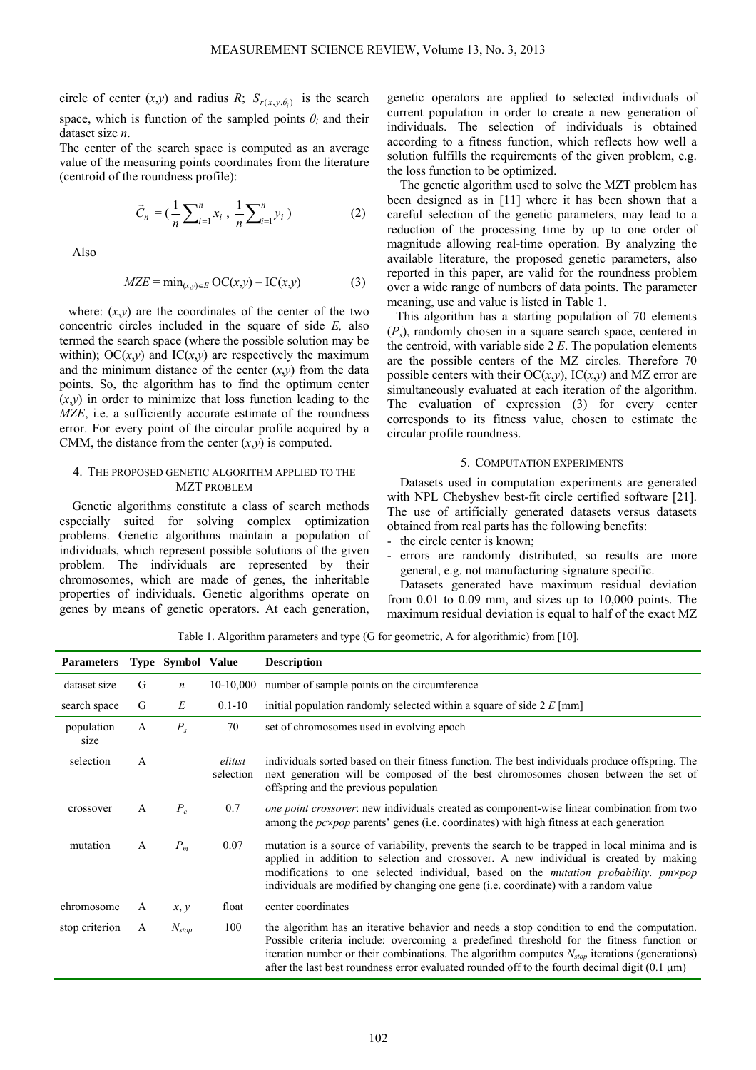circle of center  $(x,y)$  and radius *R*;  $S_{r(x,y,\theta)}$  is the search space, which is function of the sampled points  $\theta_i$  and their dataset size *n*.

The center of the search space is computed as an average value of the measuring points coordinates from the literature (centroid of the roundness profile):

$$
\vec{C}_n = \left(\frac{1}{n}\sum_{i=1}^n x_i\right), \frac{1}{n}\sum_{i=1}^n y_i\right) \tag{2}
$$

Also

$$
MZE = \min_{(x,y)\in E} OC(x,y) - IC(x,y) \tag{3}
$$

where:  $(x,y)$  are the coordinates of the center of the two concentric circles included in the square of side *E,* also termed the search space (where the possible solution may be within); OC $(x,y)$  and IC $(x,y)$  are respectively the maximum and the minimum distance of the center  $(x,y)$  from the data points. So, the algorithm has to find the optimum center  $(x,y)$  in order to minimize that loss function leading to the *MZE*, i.e. a sufficiently accurate estimate of the roundness error. For every point of the circular profile acquired by a CMM, the distance from the center  $(x,y)$  is computed.

## 4. THE PROPOSED GENETIC ALGORITHM APPLIED TO THE MZT PROBLEM

Genetic algorithms constitute a class of search methods especially suited for solving complex optimization problems. Genetic algorithms maintain a population of individuals, which represent possible solutions of the given problem. The individuals are represented by their chromosomes, which are made of genes, the inheritable properties of individuals. Genetic algorithms operate on genes by means of genetic operators. At each generation,

genetic operators are applied to selected individuals of current population in order to create a new generation of individuals. The selection of individuals is obtained according to a fitness function, which reflects how well a solution fulfills the requirements of the given problem, e.g. the loss function to be optimized.

The genetic algorithm used to solve the MZT problem has been designed as in [11] where it has been shown that a careful selection of the genetic parameters, may lead to a reduction of the processing time by up to one order of magnitude allowing real-time operation. By analyzing the available literature, the proposed genetic parameters, also reported in this paper, are valid for the roundness problem over a wide range of numbers of data points. The parameter meaning, use and value is listed in Table 1.

This algorithm has a starting population of 70 elements (*Ps*), randomly chosen in a square search space, centered in the centroid, with variable side 2 *E*. The population elements are the possible centers of the MZ circles. Therefore 70 possible centers with their  $OC(x,y)$ ,  $IC(x,y)$  and MZ error are simultaneously evaluated at each iteration of the algorithm. The evaluation of expression (3) for every center corresponds to its fitness value, chosen to estimate the circular profile roundness.

#### 5. COMPUTATION EXPERIMENTS

Datasets used in computation experiments are generated with NPL Chebyshev best-fit circle certified software [21]. The use of artificially generated datasets versus datasets obtained from real parts has the following benefits:

- the circle center is known;
- errors are randomly distributed, so results are more general, e.g. not manufacturing signature specific.

Datasets generated have maximum residual deviation from 0.01 to 0.09 mm, and sizes up to 10,000 points. The maximum residual deviation is equal to half of the exact MZ

Table 1. Algorithm parameters and type (G for geometric, A for algorithmic) from [10].

| <b>Parameters</b>  |              | Type Symbol Value |                      | <b>Description</b>                                                                                                                                                                                                                                                                                                                                                                                  |
|--------------------|--------------|-------------------|----------------------|-----------------------------------------------------------------------------------------------------------------------------------------------------------------------------------------------------------------------------------------------------------------------------------------------------------------------------------------------------------------------------------------------------|
| dataset size       | G            | $\boldsymbol{n}$  |                      | 10-10,000 number of sample points on the circumference                                                                                                                                                                                                                                                                                                                                              |
| search space       | G            | E                 | $0.1 - 10$           | initial population randomly selected within a square of side $2 E$ [mm]                                                                                                                                                                                                                                                                                                                             |
| population<br>size | A            | $P_{s}$           | 70                   | set of chromosomes used in evolving epoch                                                                                                                                                                                                                                                                                                                                                           |
| selection          | A            |                   | elitist<br>selection | individuals sorted based on their fitness function. The best individuals produce offspring. The<br>next generation will be composed of the best chromosomes chosen between the set of<br>offspring and the previous population                                                                                                                                                                      |
| crossover          | A            | $P_c$             | 0.7                  | <i>one point crossover</i> : new individuals created as component-wise linear combination from two<br>among the $pc \times pop$ parents' genes (i.e. coordinates) with high fitness at each generation                                                                                                                                                                                              |
| mutation           | $\mathsf{A}$ | $P_m$             | 0.07                 | mutation is a source of variability, prevents the search to be trapped in local minima and is<br>applied in addition to selection and crossover. A new individual is created by making<br>modifications to one selected individual, based on the <i>mutation probability</i> . <i>pm×pop</i><br>individuals are modified by changing one gene (i.e. coordinate) with a random value                 |
| chromosome         | A            | x, y              | float                | center coordinates                                                                                                                                                                                                                                                                                                                                                                                  |
| stop criterion     | A            | $N_{stop}$        | 100                  | the algorithm has an iterative behavior and needs a stop condition to end the computation.<br>Possible criteria include: overcoming a predefined threshold for the fitness function or<br>iteration number or their combinations. The algorithm computes $N_{stop}$ iterations (generations)<br>after the last best roundness error evaluated rounded off to the fourth decimal digit $(0.1 \mu m)$ |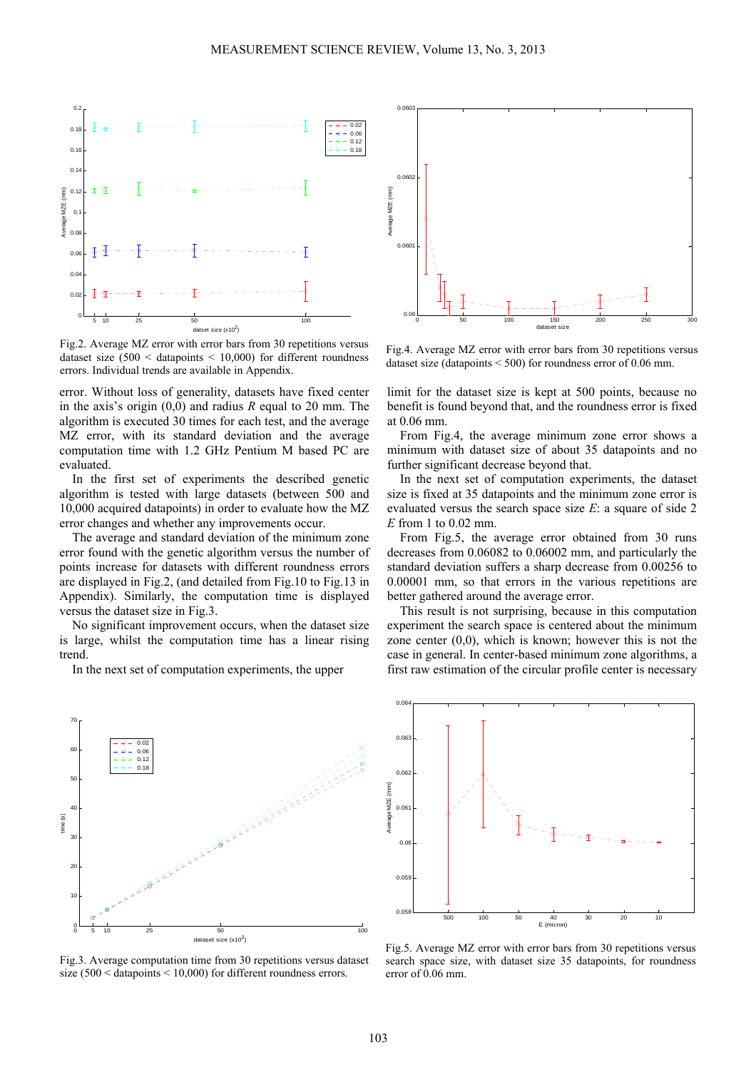

Fig.2. Average MZ error with error bars from 30 repetitions versus dataset size  $(500 <$  datapoints  $< 10,000$ ) for different roundness errors. Individual trends are available in Appendix.

error. Without loss of generality, datasets have fixed center in the axis's origin (0,0) and radius *R* equal to 20 mm. The algorithm is executed 30 times for each test, and the average MZ error, with its standard deviation and the average computation time with 1.2 GHz Pentium M based PC are evaluated.

In the first set of experiments the described genetic algorithm is tested with large datasets (between 500 and 10,000 acquired datapoints) in order to evaluate how the MZ error changes and whether any improvements occur.

The average and standard deviation of the minimum zone error found with the genetic algorithm versus the number of points increase for datasets with different roundness errors are displayed in Fig.2, (and detailed from Fig.10 to Fig.13 in Appendix). Similarly, the computation time is displayed versus the dataset size in Fig.3.

No significant improvement occurs, when the dataset size is large, whilst the computation time has a linear rising trend.

In the next set of computation experiments, the upper



Fig.3. Average computation time from 30 repetitions versus dataset size (500 < datapoints < 10,000) for different roundness errors.



Fig.4. Average MZ error with error bars from 30 repetitions versus dataset size (datapoints < 500) for roundness error of 0.06 mm.

limit for the dataset size is kept at 500 points, because no benefit is found beyond that, and the roundness error is fixed at 0.06 mm.

From Fig.4, the average minimum zone error shows a minimum with dataset size of about 35 datapoints and no further significant decrease beyond that.

In the next set of computation experiments, the dataset size is fixed at 35 datapoints and the minimum zone error is evaluated versus the search space size *E*: a square of side 2 *E* from 1 to 0.02 mm.

From Fig.5, the average error obtained from 30 runs decreases from 0.06082 to 0.06002 mm, and particularly the standard deviation suffers a sharp decrease from 0.00256 to 0.00001 mm, so that errors in the various repetitions are better gathered around the average error.

This result is not surprising, because in this computation experiment the search space is centered about the minimum zone center  $(0,0)$ , which is known; however this is not the case in general. In center-based minimum zone algorithms, a first raw estimation of the circular profile center is necessary



Fig.5. Average MZ error with error bars from 30 repetitions versus search space size, with dataset size 35 datapoints, for roundness error of 0.06 mm.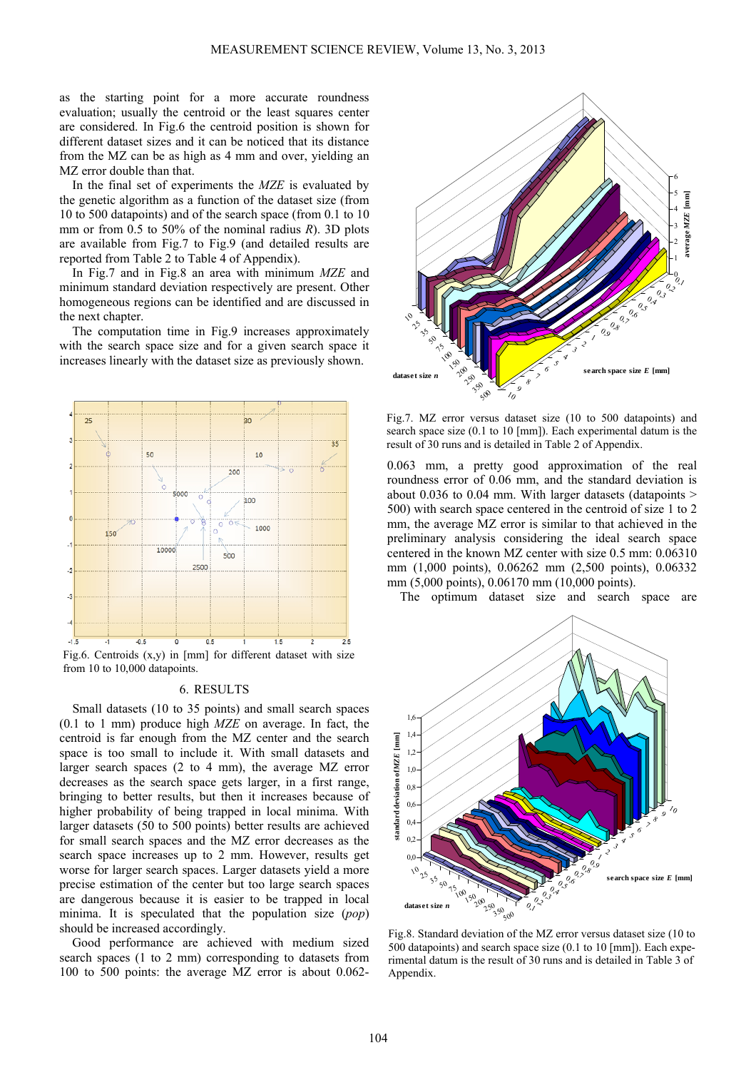as the starting point for a more accurate roundness evaluation; usually the centroid or the least squares center are considered. In Fig.6 the centroid position is shown for different dataset sizes and it can be noticed that its distance from the MZ can be as high as 4 mm and over, yielding an MZ error double than that.

In the final set of experiments the *MZE* is evaluated by the genetic algorithm as a function of the dataset size (from 10 to 500 datapoints) and of the search space (from 0.1 to 10 mm or from 0.5 to 50% of the nominal radius *R*). 3D plots are available from Fig.7 to Fig.9 (and detailed results are reported from Table 2 to Table 4 of Appendix).

In Fig.7 and in Fig.8 an area with minimum *MZE* and minimum standard deviation respectively are present. Other homogeneous regions can be identified and are discussed in the next chapter.

The computation time in Fig.9 increases approximately with the search space size and for a given search space it increases linearly with the dataset size as previously shown.



Fig.6. Centroids  $(x,y)$  in [mm] for different dataset with size from 10 to 10,000 datapoints.

## 6. RESULTS

Small datasets (10 to 35 points) and small search spaces (0.1 to 1 mm) produce high *MZE* on average. In fact, the centroid is far enough from the MZ center and the search space is too small to include it. With small datasets and larger search spaces (2 to 4 mm), the average MZ error decreases as the search space gets larger, in a first range, bringing to better results, but then it increases because of higher probability of being trapped in local minima. With larger datasets (50 to 500 points) better results are achieved for small search spaces and the MZ error decreases as the search space increases up to 2 mm. However, results get worse for larger search spaces. Larger datasets yield a more precise estimation of the center but too large search spaces are dangerous because it is easier to be trapped in local minima. It is speculated that the population size (*pop*) should be increased accordingly.

Good performance are achieved with medium sized search spaces (1 to 2 mm) corresponding to datasets from 100 to 500 points: the average MZ error is about 0.062-



Fig.7. MZ error versus dataset size (10 to 500 datapoints) and search space size (0.1 to 10 [mm]). Each experimental datum is the result of 30 runs and is detailed in Table 2 of Appendix.

0.063 mm, a pretty good approximation of the real roundness error of 0.06 mm, and the standard deviation is about 0.036 to 0.04 mm. With larger datasets (datapoints  $>$ 500) with search space centered in the centroid of size 1 to 2 mm, the average MZ error is similar to that achieved in the preliminary analysis considering the ideal search space centered in the known MZ center with size 0.5 mm: 0.06310 mm (1,000 points), 0.06262 mm (2,500 points), 0.06332 mm (5,000 points), 0.06170 mm (10,000 points).

The optimum dataset size and search space are



Fig.8. Standard deviation of the MZ error versus dataset size (10 to 500 datapoints) and search space size (0.1 to 10 [mm]). Each experimental datum is the result of 30 runs and is detailed in Table 3 of Appendix.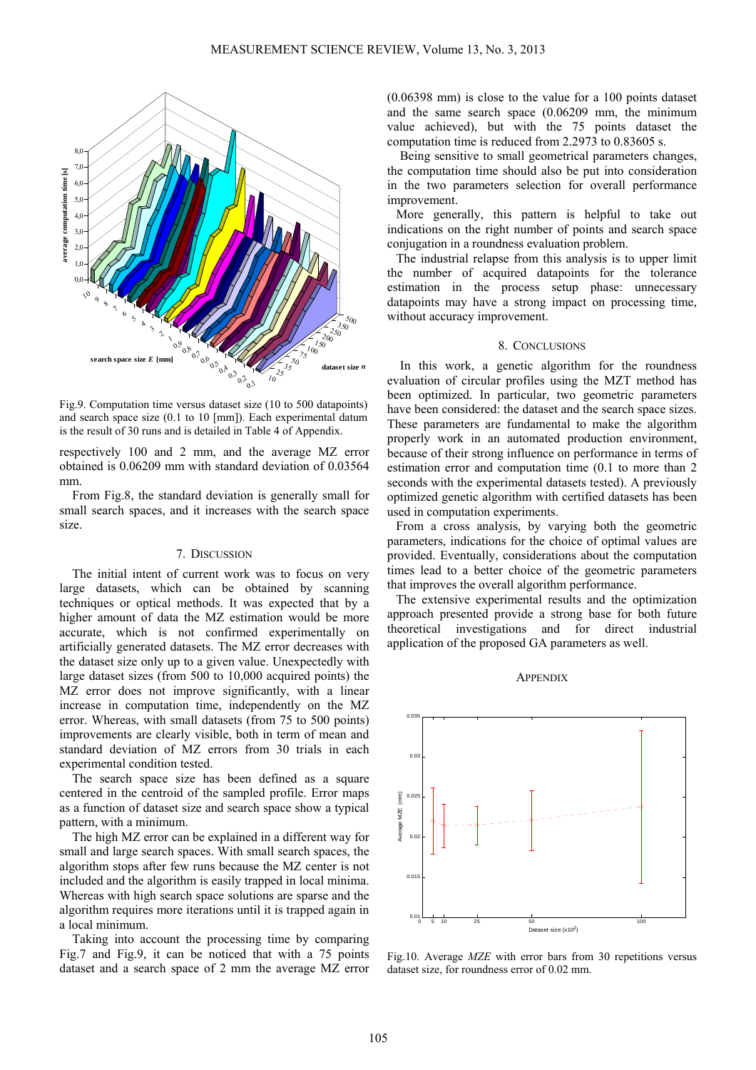

Fig.9. Computation time versus dataset size (10 to 500 datapoints) and search space size (0.1 to 10 [mm]). Each experimental datum is the result of 30 runs and is detailed in Table 4 of Appendix.

respectively 100 and 2 mm, and the average MZ error obtained is 0.06209 mm with standard deviation of 0.03564 mm.

From Fig.8, the standard deviation is generally small for small search spaces, and it increases with the search space size.

## 7. DISCUSSION

The initial intent of current work was to focus on very large datasets, which can be obtained by scanning techniques or optical methods. It was expected that by a higher amount of data the MZ estimation would be more accurate, which is not confirmed experimentally on artificially generated datasets. The MZ error decreases with the dataset size only up to a given value. Unexpectedly with large dataset sizes (from 500 to 10,000 acquired points) the MZ error does not improve significantly, with a linear increase in computation time, independently on the MZ error. Whereas, with small datasets (from 75 to 500 points) improvements are clearly visible, both in term of mean and standard deviation of MZ errors from 30 trials in each experimental condition tested.

The search space size has been defined as a square centered in the centroid of the sampled profile. Error maps as a function of dataset size and search space show a typical pattern, with a minimum.

The high MZ error can be explained in a different way for small and large search spaces. With small search spaces, the algorithm stops after few runs because the MZ center is not included and the algorithm is easily trapped in local minima. Whereas with high search space solutions are sparse and the algorithm requires more iterations until it is trapped again in a local minimum.

Taking into account the processing time by comparing Fig.7 and Fig.9, it can be noticed that with a 75 points dataset and a search space of 2 mm the average MZ error

(0.06398 mm) is close to the value for a 100 points dataset and the same search space (0.06209 mm, the minimum value achieved), but with the 75 points dataset the computation time is reduced from 2.2973 to 0.83605 s.

Being sensitive to small geometrical parameters changes, the computation time should also be put into consideration in the two parameters selection for overall performance improvement.

More generally, this pattern is helpful to take out indications on the right number of points and search space conjugation in a roundness evaluation problem.

The industrial relapse from this analysis is to upper limit the number of acquired datapoints for the tolerance estimation in the process setup phase: unnecessary datapoints may have a strong impact on processing time, without accuracy improvement.

#### 8. CONCLUSIONS

In this work, a genetic algorithm for the roundness evaluation of circular profiles using the MZT method has been optimized. In particular, two geometric parameters have been considered: the dataset and the search space sizes. These parameters are fundamental to make the algorithm properly work in an automated production environment, because of their strong influence on performance in terms of estimation error and computation time (0.1 to more than 2 seconds with the experimental datasets tested). A previously optimized genetic algorithm with certified datasets has been used in computation experiments.

From a cross analysis, by varying both the geometric parameters, indications for the choice of optimal values are provided. Eventually, considerations about the computation times lead to a better choice of the geometric parameters that improves the overall algorithm performance.

The extensive experimental results and the optimization approach presented provide a strong base for both future theoretical investigations and for direct industrial application of the proposed GA parameters as well.





Fig.10. Average *MZE* with error bars from 30 repetitions versus dataset size, for roundness error of 0.02 mm.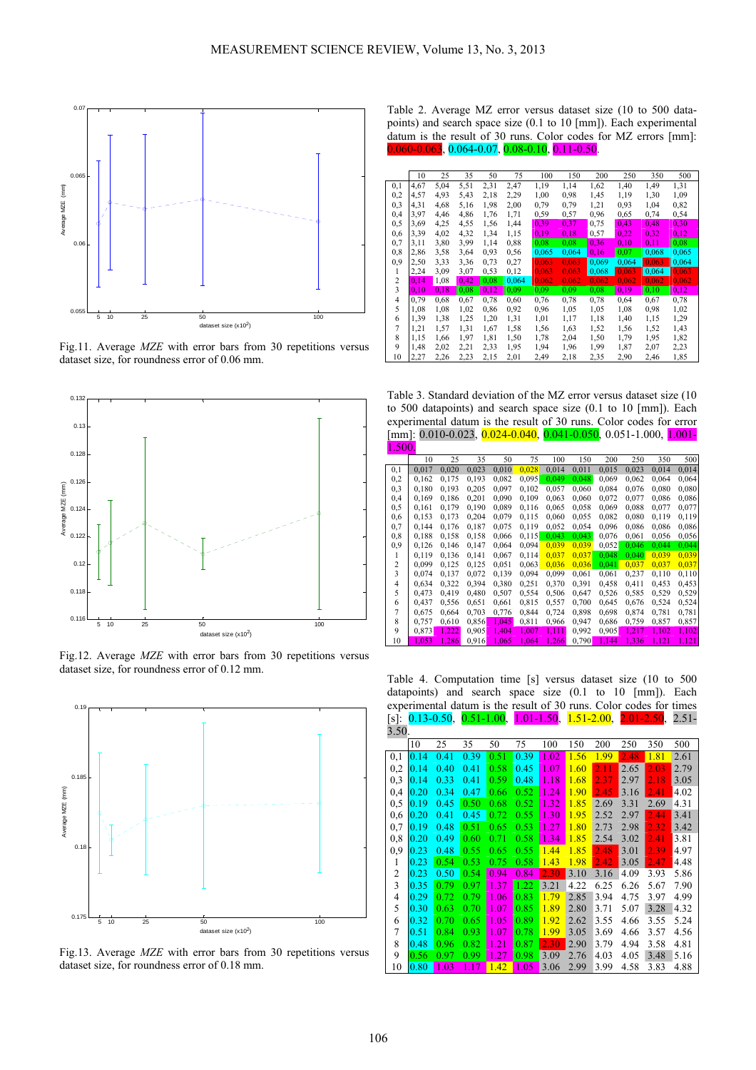

Fig.11. Average *MZE* with error bars from 30 repetitions versus dataset size, for roundness error of 0.06 mm.



Fig.12. Average *MZE* with error bars from 30 repetitions versus dataset size, for roundness error of 0.12 mm.



Fig.13. Average *MZE* with error bars from 30 repetitions versus dataset size, for roundness error of 0.18 mm.

Table 2. Average MZ error versus dataset size (10 to 500 datapoints) and search space size (0.1 to 10 [mm]). Each experimental datum is the result of 30 runs. Color codes for MZ errors [mm]: 0.060-0.063, 0.064-0.07, 0.08-0.10, 0.11-0.50.

|                | 10   | 25   | 35   | 50   | 75    | 100   | 150   | 200   | 250   | 350   | 500   |
|----------------|------|------|------|------|-------|-------|-------|-------|-------|-------|-------|
| 0,1            | 4,67 | 5,04 | 5,51 | 2,31 | 2,47  | 1,19  | 1,14  | 1,62  | 1,40  | 1,49  | 1,31  |
| 0,2            | 4,57 | 4,93 | 5,43 | 2,18 | 2,29  | 1,00  | 0.98  | 1,45  | 1,19  | 1,30  | 1,09  |
| 0,3            | 4,31 | 4,68 | 5,16 | 1,98 | 2,00  | 0,79  | 0,79  | 1,21  | 0,93  | 1,04  | 0,82  |
| 0,4            | 3,97 | 4,46 | 4,86 | 1,76 | 1,71  | 0,59  | 0,57  | 0,96  | 0,65  | 0,74  | 0,54  |
| 0,5            | 3,69 | 4,25 | 4,55 | 1,56 | 1,44  | 0,39  | 0,37  | 0,75  | 0.43  | 0.48  | 0,30  |
| 0,6            | 3,39 | 4,02 | 4,32 | 1,34 | 1,15  | 0,19  | 0,18  | 0,57  | 0.22  | 0.32  | 0,12  |
| 0,7            | 3,11 | 3,80 | 3,99 | 1,14 | 0,88  | 0.08  | 0.08  | 0,36  | 0.10  | 0.11  | 0,08  |
| 0,8            | 2,86 | 3,58 | 3,64 | 0,93 | 0,56  | 0,065 | 0,064 | 0,16  | 0.07  | 0,068 | 0,065 |
| 0,9            | 2,50 | 3,33 | 3,36 | 0,73 | 0,27  | 0.063 | 0.063 | 0,069 | 0,064 | 0.063 | 0,064 |
| 1              | 2,24 | 3,09 | 3,07 | 0.53 | 0,12  | 0,063 | 0,063 | 0,068 | 0,063 | 0,064 | 0,063 |
| $\overline{2}$ | 0,14 | 1,08 | 0,42 | 0.08 | 0,064 | 0,062 | 0.062 | 0.062 | 0,062 | 0.062 | 0.062 |
| 3              | 0,10 | 0,18 | 0,08 | 0,12 | 0,09  | 0.09  | 0.09  | 0.08  | 0,19  | 0,10  | 0,12  |
| $\overline{4}$ | 0.79 | 0.68 | 0,67 | 0,78 | 0,60  | 0,76  | 0,78  | 0,78  | 0,64  | 0,67  | 0,78  |
| 5              | 1,08 | 1,08 | 1,02 | 0,86 | 0,92  | 0,96  | 1,05  | 1,05  | 1,08  | 0,98  | 1,02  |
| 6              | 1,39 | 1,38 | 1,25 | 1,20 | 1,31  | 1,01  | 1,17  | 1,18  | 1,40  | 1,15  | 1,29  |
| 7              | 1,21 | 1,57 | 1,31 | 1,67 | 1,58  | 1,56  | 1,63  | 1,52  | 1,56  | 1,52  | 1,43  |
| 8              | 1,15 | 1,66 | 1,97 | 1,81 | 1,50  | 1,78  | 2,04  | 1,50  | 1,79  | 1,95  | 1,82  |
| 9              | 1,48 | 2,02 | 2,21 | 2,33 | 1,95  | 1,94  | 1,96  | 1,99  | 1,87  | 2,07  | 2,23  |
| 10             | 2,27 | 2,26 | 2,23 | 2,15 | 2,01  | 2,49  | 2,18  | 2,35  | 2,90  | 2,46  | 1,85  |

Table 3. Standard deviation of the MZ error versus dataset size (10 to 500 datapoints) and search space size (0.1 to 10 [mm]). Each experimental datum is the result of 30 runs. Color codes for error [mm]: 0.010-0.023, 0.024-0.040, 0.041-0.050, 0.051-1.000, <mark>1.001-</mark>

| 1.500.         |       |       |       |       |       |       |       |       |       |       |       |
|----------------|-------|-------|-------|-------|-------|-------|-------|-------|-------|-------|-------|
|                | 10    | 25    | 35    | 50    | 75    | 100   | 150   | 200   | 250   | 350   | 500   |
| 0,1            | 0,017 | 0,020 | 0,023 | 0,010 | 0,028 | 0,014 | 0,011 | 0,015 | 0,023 | 0,014 | 0,014 |
| 0,2            | 0,162 | 0,175 | 0,193 | 0,082 | 0,095 | 0,049 | 0,048 | 0,069 | 0,062 | 0,064 | 0,064 |
| 0,3            | 0,180 | 0,193 | 0,205 | 0,097 | 0,102 | 0,057 | 0,060 | 0,084 | 0,076 | 0,080 | 0,080 |
| 0,4            | 0.169 | 0.186 | 0.201 | 0.090 | 0.109 | 0,063 | 0,060 | 0,072 | 0,077 | 0.086 | 0,086 |
| 0,5            | 0,161 | 0,179 | 0,190 | 0,089 | 0,116 | 0,065 | 0,058 | 0,069 | 0,088 | 0,077 | 0,077 |
| 0,6            | 0,153 | 0,173 | 0,204 | 0,079 | 0.115 | 0,060 | 0,055 | 0,082 | 0,080 | 0,119 | 0,119 |
| 0,7            | 0,144 | 0,176 | 0.187 | 0.075 | 0.119 | 0.052 | 0,054 | 0,096 | 0,086 | 0,086 | 0,086 |
| 0,8            | 0,188 | 0,158 | 0,158 | 0,066 | 0,115 | 0,043 | 0,043 | 0,076 | 0,061 | 0,056 | 0,056 |
| 0,9            | 0,126 | 0,146 | 0,147 | 0,064 | 0,094 | 0,039 | 0,039 | 0,052 | 0,046 | 0,044 | 0,044 |
| 1              | 0,119 | 0,136 | 0,141 | 0,067 | 0,114 | 0,037 | 0,037 | 0,048 | 0,040 | 0,039 | 0,039 |
| 2              | 0.099 | 0,125 | 0.125 | 0,051 | 0,063 | 0.036 | 0,036 | 0,041 | 0,037 | 0,037 | 0,037 |
| 3              | 0,074 | 0,137 | 0,072 | 0,139 | 0,094 | 0,099 | 0,061 | 0,061 | 0,237 | 0,110 | 0,110 |
| 4              | 0,634 | 0,322 | 0,394 | 0,380 | 0,251 | 0,370 | 0,391 | 0,458 | 0,411 | 0,453 | 0,453 |
| 5              | 0,473 | 0,419 | 0,480 | 0,507 | 0,554 | 0,506 | 0,647 | 0,526 | 0,585 | 0,529 | 0,529 |
| 6              | 0.437 | 0,556 | 0,651 | 0,661 | 0,815 | 0,557 | 0,700 | 0,645 | 0,676 | 0,524 | 0,524 |
| $\overline{7}$ | 0.675 | 0,664 | 0,703 | 0,776 | 0,844 | 0,724 | 0,898 | 0,698 | 0,874 | 0,781 | 0,781 |
| 8              | 0.757 | 0.610 | 0,856 | 1,045 | 0,811 | 0,966 | 0,947 | 0,686 | 0,759 | 0.857 | 0,857 |
| 9              | 0,873 | 1,222 | 0,905 | 1,404 | 1,007 | 1,111 | 0,992 | 0,905 | 1,217 | 1,102 | 1,102 |
| 10             | 1,053 | 1,286 | 0,916 | 1,065 | 1,064 | 1,266 | 0,790 | 1,144 | 1,336 | 1,121 | 1,121 |

Table 4. Computation time [s] versus dataset size (10 to 500 datapoints) and search space size (0.1 to 10 [mm]). Each experimental datum is the result of 30 runs. Color codes for times  $[s]$ : 0.13-0.50, 0.51-1.00, 1.01-1.50, 1.51-2.00, 2.01-2.50, 2.51-

| 3.50. |      |      |      |      |      |      |      |      |      |      |      |
|-------|------|------|------|------|------|------|------|------|------|------|------|
|       | 10   | 25   | 35   | 50   | 75   | 100  | 150  | 200  | 250  | 350  | 500  |
| 0,1   | 0.14 | 0.41 | 0.39 | 0.51 | 0.39 | 1.02 | 1.56 | 1.99 | 2.48 | 1.81 | 2.61 |
| 0,2   | 0.14 | 0.40 | 0.41 | 0.58 | 0.45 | 1.07 | 1.60 | 2.11 | 2.65 | 2.03 | 2.79 |
| 0,3   | 0.14 | 0.33 | 0.41 | 0.59 | 0.48 | 1.18 | 1.68 | 2.37 | 2.97 | 2.18 | 3.05 |
| 0,4   | 0.20 | 0.34 | 0.47 | 0.66 | 0.52 | 1.24 | 1.90 | 2.45 | 3.16 | 2.41 | 4.02 |
| 0,5   | 0.19 | 0.45 | 0.50 | 0.68 | 0.52 | 1.32 | 1.85 | 2.69 | 3.31 | 2.69 | 4.31 |
| 0,6   | 0.20 | 0.41 | 0.45 | 0.72 | 0.55 | 1.30 | 1.95 | 2.52 | 2.97 | 2.44 | 3.41 |
| 0,7   | 0.19 | 0.48 | 0.51 | 0.65 | 0.53 | 1.27 | 1.80 | 2.73 | 2.98 | 2.32 | 3.42 |
| 0,8   | 0.20 | 0.49 | 0.60 | 0.71 | 0.58 | 1.34 | 1.85 | 2.54 | 3.02 | 2.41 | 3.81 |
| 0,9   | 0.23 | 0.48 | 0.55 | 0.65 | 0.55 | 1.44 | 1.85 | 2.48 | 3.01 | 2.39 | 4.97 |
| 1     | 0.23 | 0.54 | 0.53 | 0.75 | 0.58 | 1.43 | 1.98 | 2.42 | 3.05 | 2.47 | 4.48 |
| 2     | 0.23 | 0.50 | 0.54 | 0.94 | 0.84 | 2.30 | 3.10 | 3.16 | 4.09 | 3.93 | 5.86 |
| 3     | 0.35 | 0.79 | 0.97 | 1.37 | 1.22 | 3.21 | 4.22 | 6.25 | 6.26 | 5.67 | 7.90 |
| 4     | 0.29 | 0.72 | 0.79 | 1.06 | 0.83 | 1.79 | 2.85 | 3.94 | 4.75 | 3.97 | 4.99 |
| 5     | 0.30 | 0.63 | 0.70 | 1.07 | 0.85 | 1.89 | 2.80 | 3.71 | 5.07 | 3.28 | 4.32 |
| 6     | 0.32 | 0.70 | 0.65 | 1.05 | 0.89 | 1.92 | 2.62 | 3.55 | 4.66 | 3.55 | 5.24 |
| 7     | 0.51 | 0.84 | 0.93 | 1.07 | 0.78 | 1.99 | 3.05 | 3.69 | 4.66 | 3.57 | 4.56 |
| 8     | 0.48 | 0.96 | 0.82 | 1.21 | 0.87 | 2.30 | 2.90 | 3.79 | 4.94 | 3.58 | 4.81 |
| 9     | 0.56 | 0.97 | 0.99 | 1.27 | 0.98 | 3.09 | 2.76 | 4.03 | 4.05 | 3.48 | 5.16 |
| 10    | 0.80 | 1.03 | 1.17 | 1.42 | 1.05 | 3.06 | 2.99 | 3.99 | 4.58 | 3.83 | 4.88 |